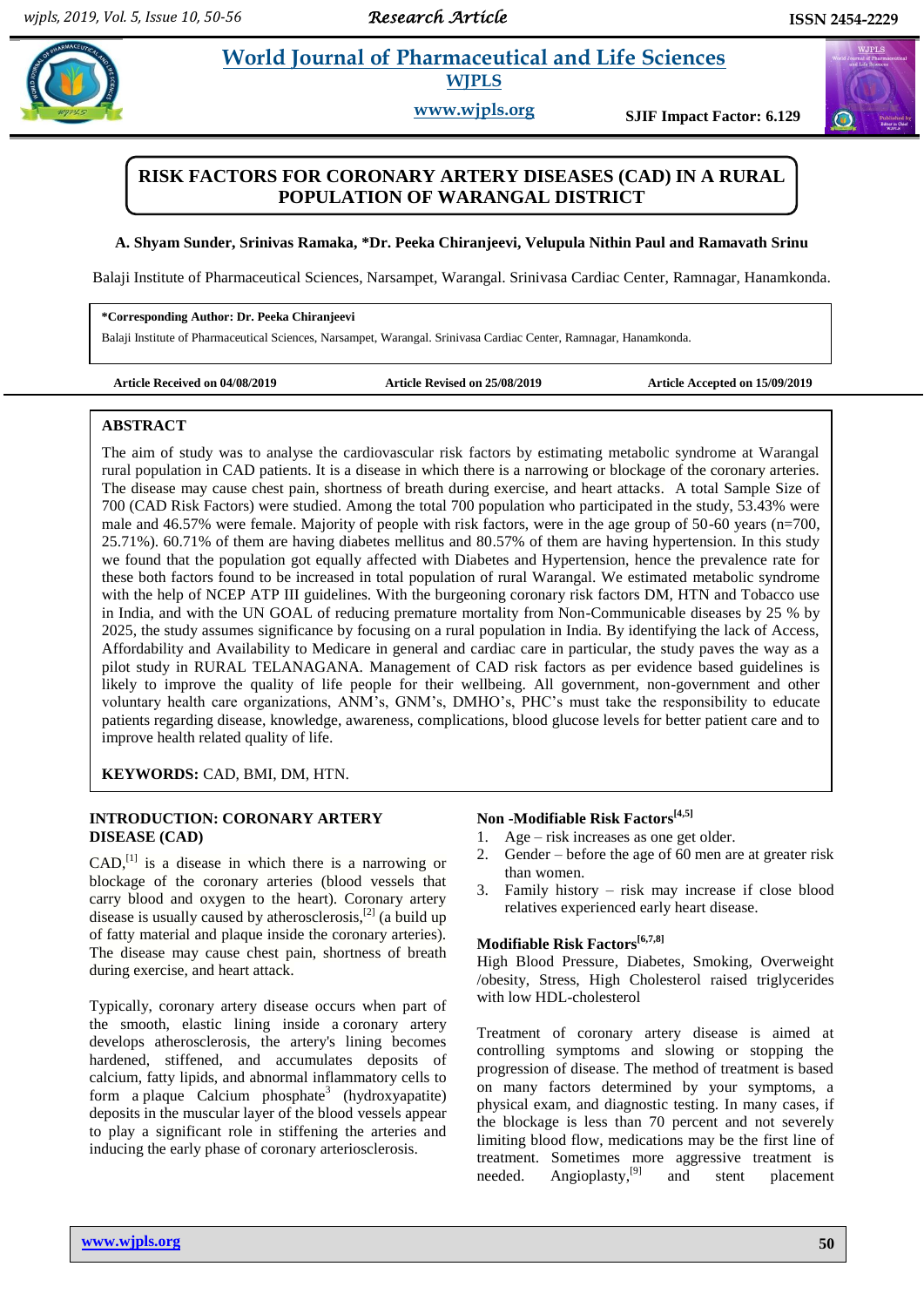$\bigcirc$ 

# **Chiracy External** *et al. and Life Sciences* **WJPLS**

**www.wjpls.org SJIF Impact Factor: 6.129**

# **RISK FACTORS FOR CORONARY ARTERY DISEASES (CAD) IN A RURAL POPULATION OF WARANGAL DISTRICT**

## **A. Shyam Sunder, Srinivas Ramaka, \*Dr. Peeka Chiranjeevi, Velupula Nithin Paul and Ramavath Srinu**

Balaji Institute of Pharmaceutical Sciences, Narsampet, Warangal. Srinivasa Cardiac Center, Ramnagar, Hanamkonda.

#### **\*Corresponding Author: Dr. Peeka Chiranjeevi**

Balaji Institute of Pharmaceutical Sciences, Narsampet, Warangal. Srinivasa Cardiac Center, Ramnagar, Hanamkonda.

|  |  |  | Article Received on 04/08/2019 |
|--|--|--|--------------------------------|
|--|--|--|--------------------------------|

Article Revised on 25/08/2019 **Article Accepted on 15/09/2019** 

#### **ABSTRACT**

The aim of study was to analyse the cardiovascular risk factors by estimating metabolic syndrome at Warangal rural population in CAD patients. It is a disease in which there is a narrowing or blockage of the coronary arteries. The disease may cause chest pain, shortness of breath during exercise, and heart attacks. A total Sample Size of 700 (CAD Risk Factors) were studied. Among the total 700 population who participated in the study, 53.43% were male and 46.57% were female. Majority of people with risk factors, were in the age group of 50-60 years (n=700, 25.71%). 60.71% of them are having diabetes mellitus and 80.57% of them are having hypertension. In this study we found that the population got equally affected with Diabetes and Hypertension, hence the prevalence rate for these both factors found to be increased in total population of rural Warangal. We estimated metabolic syndrome with the help of NCEP ATP III guidelines. With the burgeoning coronary risk factors DM, HTN and Tobacco use in India, and with the UN GOAL of reducing premature mortality from Non-Communicable diseases by 25 % by 2025, the study assumes significance by focusing on a rural population in India. By identifying the lack of Access, Affordability and Availability to Medicare in general and cardiac care in particular, the study paves the way as a pilot study in RURAL TELANAGANA. Management of CAD risk factors as per evidence based guidelines is likely to improve the quality of life people for their wellbeing. All government, non-government and other voluntary health care organizations, ANM's, GNM's, DMHO's, PHC's must take the responsibility to educate patients regarding disease, knowledge, awareness, complications, blood glucose levels for better patient care and to improve health related quality of life.

**KEYWORDS:** CAD, BMI, DM, HTN.

# **INTRODUCTION: CORONARY ARTERY DISEASE (CAD)**

 $CAD<sub>1</sub><sup>[1]</sup>$  is a disease in which there is a narrowing or blockage of the coronary arteries (blood vessels that carry blood and oxygen to the heart). Coronary artery disease is usually caused by atherosclerosis,<sup>[2]</sup> (a build up of fatty material and plaque inside the coronary arteries). The disease may cause chest pain, shortness of breath during exercise, and heart attack.

Typically, coronary artery disease occurs when part of the smooth, elastic lining inside a coronary artery develops atherosclerosis, the artery's lining becomes hardened, stiffened, and accumulates deposits of calcium, fatty lipids, and abnormal inflammatory cells to form a plaque Calcium phosphate<sup>3</sup> (hydroxyapatite) deposits in the muscular layer of the blood vessels appear to play a significant role in stiffening the arteries and inducing the early phase of coronary arteriosclerosis.

# **Non -Modifiable Risk Factors[4,5]**

- 1. Age risk increases as one get older.
- 2. Gender before the age of 60 men are at greater risk than women.
- 3. Family history risk may increase if close blood relatives experienced early heart disease.

# **Modifiable Risk Factors[6,7,8]**

High Blood Pressure, Diabetes, Smoking, Overweight /obesity, Stress, High Cholesterol raised triglycerides with low HDL-cholesterol

Treatment of coronary artery disease is aimed at controlling symptoms and slowing or stopping the progression of disease. The method of treatment is based on many factors determined by your symptoms, a physical exam, and diagnostic testing. In many cases, if the blockage is less than 70 percent and not severely limiting blood flow, medications may be the first line of treatment. Sometimes more aggressive treatment is needed. Angioplasty,<sup>[9]</sup> and stent placement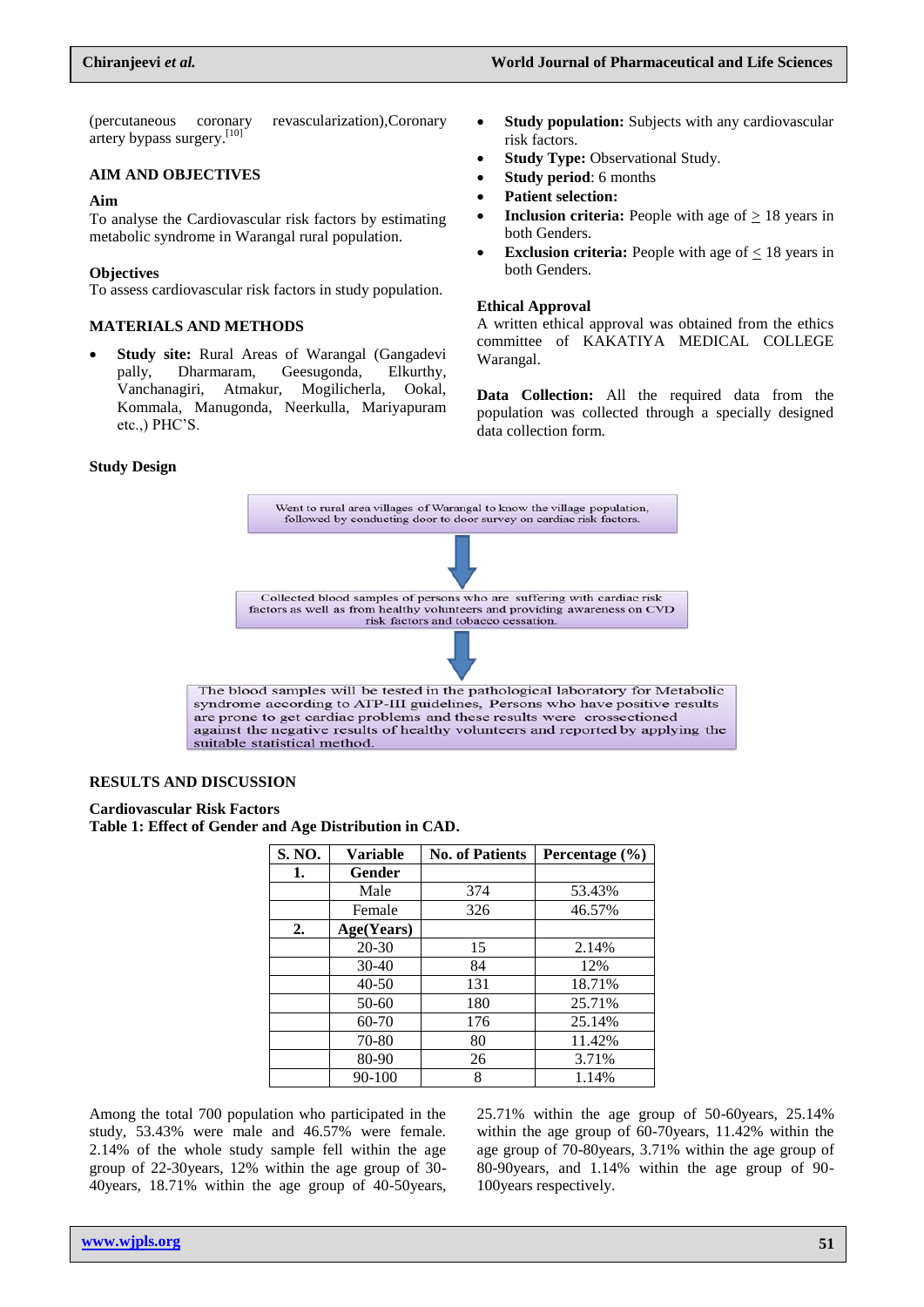(percutaneous coronary revascularization)*,*Coronary artery bypass surgery.<sup>[10]</sup>

## **AIM AND OBJECTIVES**

#### **Aim**

To analyse the Cardiovascular risk factors by estimating metabolic syndrome in Warangal rural population.

## **Objectives**

To assess cardiovascular risk factors in study population.

#### **MATERIALS AND METHODS**

 **Study site:** Rural Areas of Warangal (Gangadevi pally, Dharmaram, Geesugonda, Elkurthy, Vanchanagiri, Atmakur, Mogilicherla, Ookal, Kommala, Manugonda, Neerkulla, Mariyapuram etc.,) PHC'S.

- **Study population:** Subjects with any cardiovascular risk factors.
- **Study Type:** Observational Study.
- **Study period**: 6 months
- **Patient selection:**
- **Inclusion criteria:** People with age of  $\geq 18$  years in both Genders.
- **Exclusion criteria:** People with age of < 18 years in both Genders.

#### **Ethical Approval**

A written ethical approval was obtained from the ethics committee of KAKATIYA MEDICAL COLLEGE Warangal.

**Data Collection:** All the required data from the population was collected through a specially designed data collection form.

# **Study Design**



#### **RESULTS AND DISCUSSION**

#### **Cardiovascular Risk Factors Table 1: Effect of Gender and Age Distribution in CAD.**

| S. NO. | Variable   | <b>No. of Patients</b> | Percentage $(\% )$ |
|--------|------------|------------------------|--------------------|
| 1.     | Gender     |                        |                    |
|        | Male       | 374                    | 53.43%             |
|        | Female     | 326                    | 46.57%             |
| 2.     | Age(Years) |                        |                    |
|        | $20 - 30$  | 15                     | 2.14%              |
|        | $30-40$    | 84                     | 12%                |
|        | $40 - 50$  | 131                    | 18.71%             |
|        | 50-60      | 180                    | 25.71%             |
|        | $60 - 70$  | 176                    | 25.14%             |
|        | 70-80      | 80                     | 11.42%             |
|        | 80-90      | 26                     | 3.71%              |
|        | 90-100     | 8                      | 1.14%              |

Among the total 700 population who participated in the study, 53.43% were male and 46.57% were female. 2.14% of the whole study sample fell within the age group of 22-30years, 12% within the age group of 30- 40years, 18.71% within the age group of 40-50years,

25.71% within the age group of 50-60years, 25.14% within the age group of 60-70years, 11.42% within the age group of 70-80years, 3.71% within the age group of 80-90years, and 1.14% within the age group of 90- 100years respectively.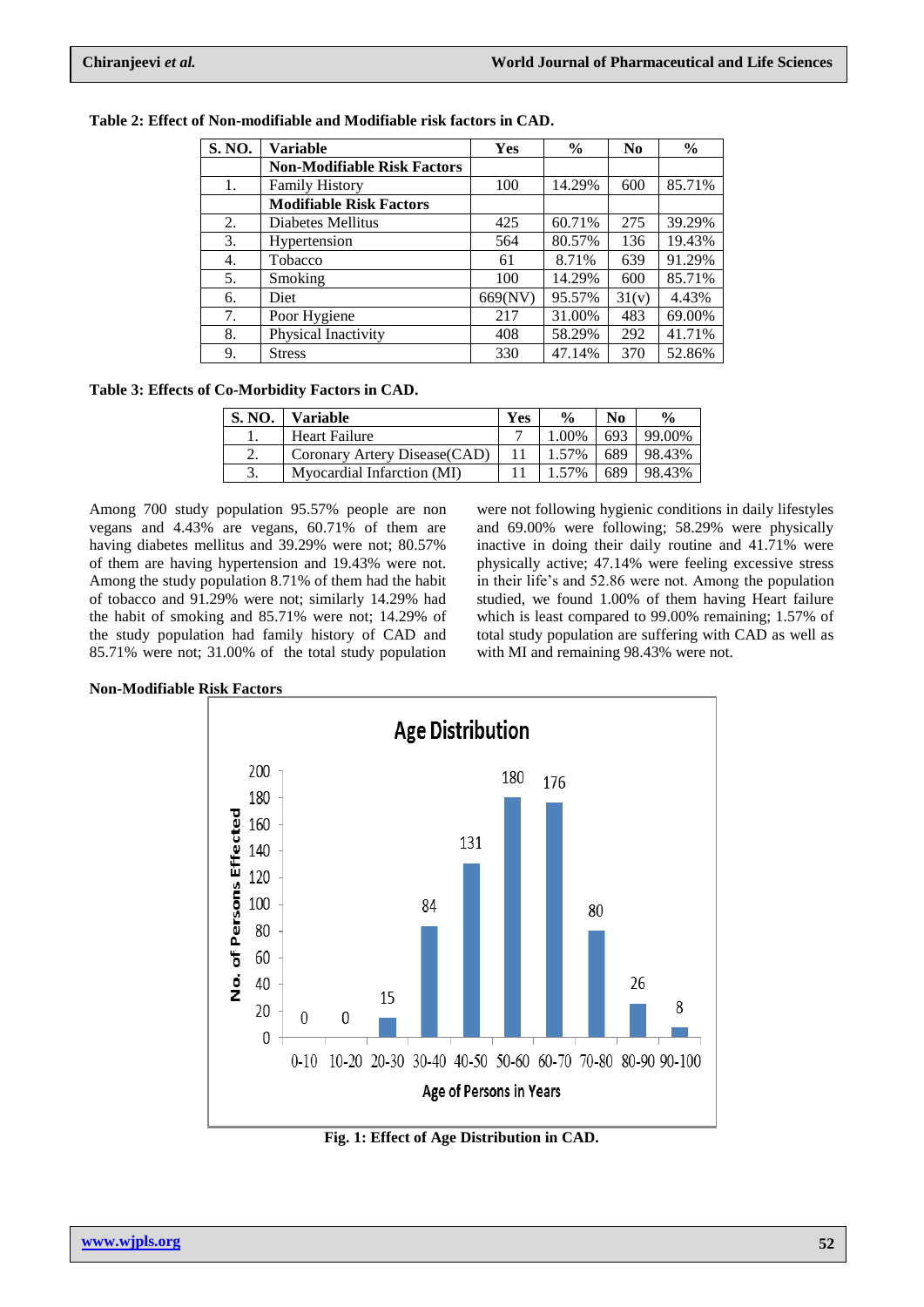| S. NO. | Variable                           | Yes     | $\frac{0}{0}$ | N <sub>0</sub> | $\frac{6}{9}$ |
|--------|------------------------------------|---------|---------------|----------------|---------------|
|        | <b>Non-Modifiable Risk Factors</b> |         |               |                |               |
| 1.     | <b>Family History</b>              | 100     | 14.29%        | 600            | 85.71%        |
|        | <b>Modifiable Risk Factors</b>     |         |               |                |               |
| 2.     | Diabetes Mellitus                  | 425     | 60.71%        | 275            | 39.29%        |
| 3.     | Hypertension                       | 564     | 80.57%        | 136            | 19.43%        |
| 4.     | Tobacco                            | 61      | 8.71%         | 639            | 91.29%        |
| 5.     | Smoking                            | 100     | 14.29%        | 600            | 85.71%        |
| 6.     | Diet                               | 669(NV) | 95.57%        | 31(v)          | 4.43%         |
| 7.     | Poor Hygiene                       | 217     | 31.00%        | 483            | 69.00%        |
| 8.     | Physical Inactivity                | 408     | 58.29%        | 292            | 41.71%        |
| 9.     | <b>Stress</b>                      | 330     | 47.14%        | 370            | 52.86%        |

**Table 2: Effect of Non-modifiable and Modifiable risk factors in CAD.**

**Table 3: Effects of Co-Morbidity Factors in CAD.**

| <b>S. NO.</b> | <b>Variable</b>               | <b>Yes</b> | $\frac{0}{0}$ | N <sub>0</sub> | $\frac{0}{0}$ |
|---------------|-------------------------------|------------|---------------|----------------|---------------|
|               | <b>Heart Failure</b>          |            | 1.00%         | 693            | 99.00%        |
| 2.            | Coronary Artery Disease (CAD) |            | 1.57%         | 689            | 98.43%        |
|               | Myocardial Infarction (MI)    |            | 1.57%         | 689            | 98.43%        |

Among 700 study population 95.57% people are non vegans and 4.43% are vegans, 60.71% of them are having diabetes mellitus and 39.29% were not; 80.57% of them are having hypertension and 19.43% were not. Among the study population 8.71% of them had the habit of tobacco and 91.29% were not; similarly 14.29% had the habit of smoking and 85.71% were not; 14.29% of the study population had family history of CAD and 85.71% were not; 31.00% of the total study population

were not following hygienic conditions in daily lifestyles and 69.00% were following; 58.29% were physically inactive in doing their daily routine and 41.71% were physically active; 47.14% were feeling excessive stress in their life's and 52.86 were not. Among the population studied, we found 1.00% of them having Heart failure which is least compared to 99.00% remaining; 1.57% of total study population are suffering with CAD as well as with MI and remaining 98.43% were not.

**Non-Modifiable Risk Factors**



**Fig. 1: Effect of Age Distribution in CAD.**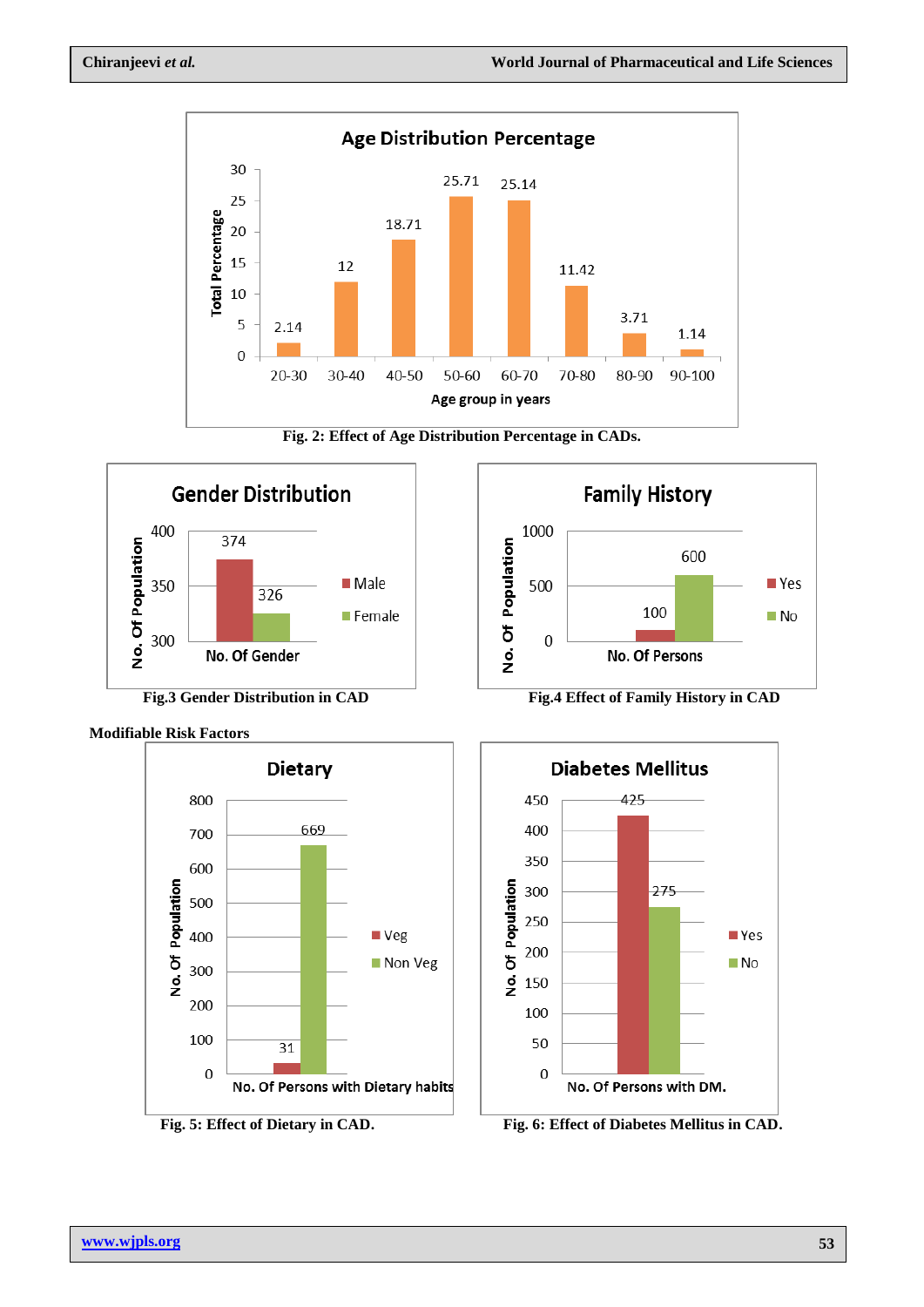











**Fig.3 Gender Distribution in CAD** Fig.4 Effect of Family History in CAD



Fig. 5: Effect of Dietary in CAD. Fig. 6: Effect of Diabetes Mellitus in CAD.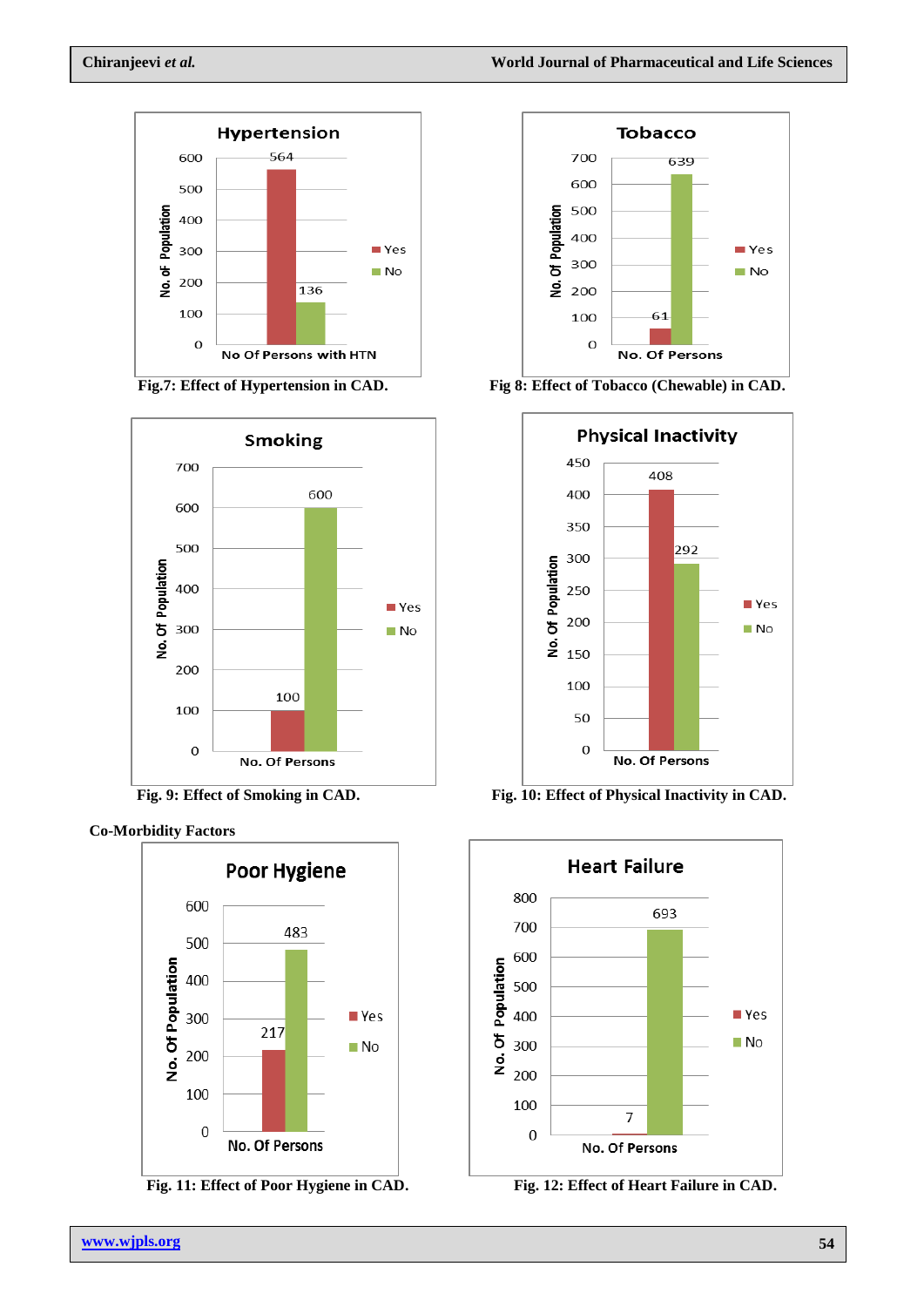

















**Fig.** 9: Effect of Smoking in CAD. Fig. 10: Effect of Physical Inactivity in CAD.



**Fig. 12: Effect of Heart Failure in CAD.**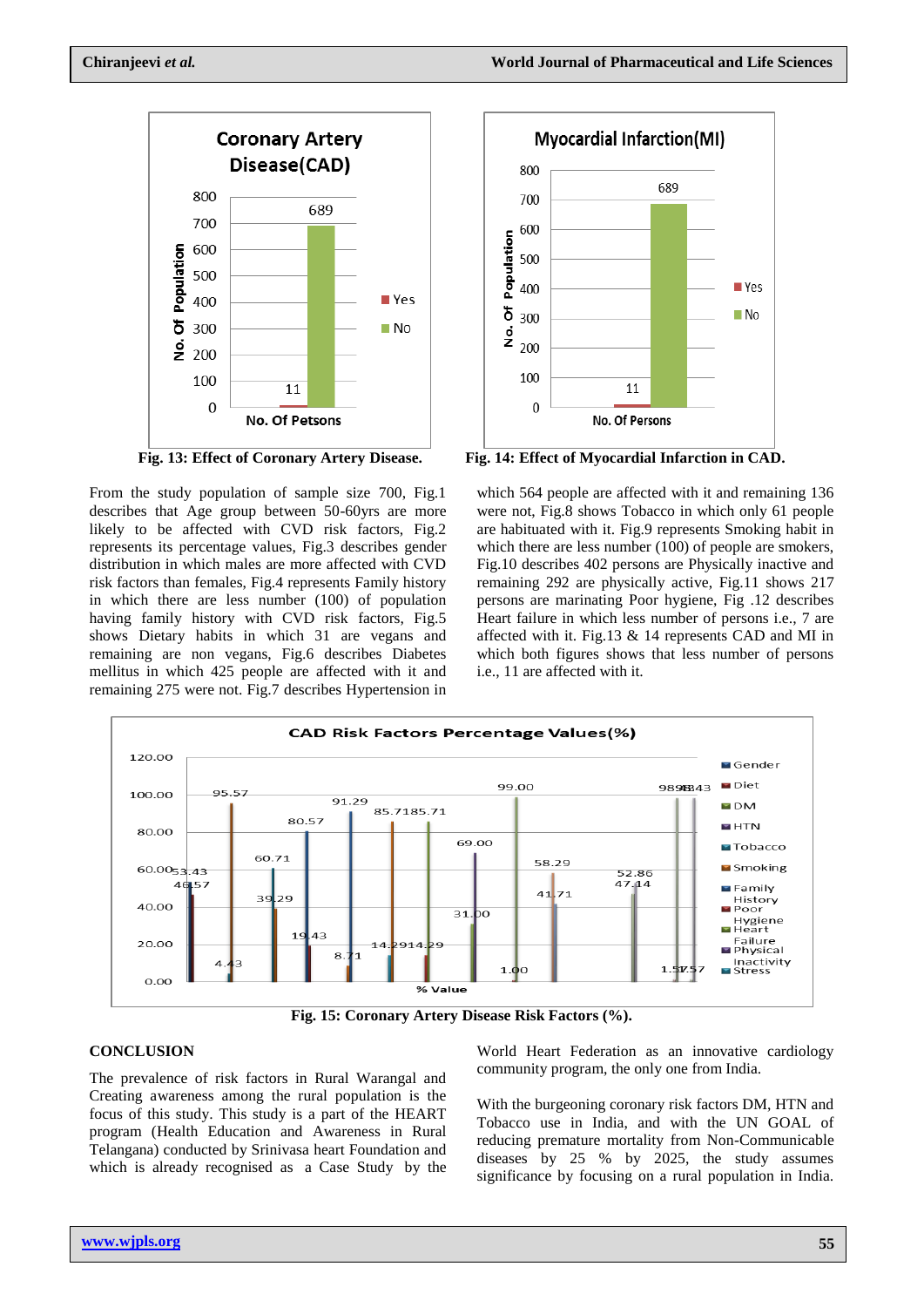

From the study population of sample size 700, Fig.1 describes that Age group between 50-60yrs are more likely to be affected with CVD risk factors, Fig.2 represents its percentage values, Fig.3 describes gender distribution in which males are more affected with CVD risk factors than females, Fig.4 represents Family history in which there are less number (100) of population having family history with CVD risk factors, Fig.5 shows Dietary habits in which 31 are vegans and remaining are non vegans, Fig.6 describes Diabetes mellitus in which 425 people are affected with it and remaining 275 were not. Fig.7 describes Hypertension in



**Fig. 13: Effect of Coronary Artery Disease. Fig. 14: Effect of Myocardial Infarction in CAD.**

which 564 people are affected with it and remaining 136 were not, Fig.8 shows Tobacco in which only 61 people are habituated with it. Fig.9 represents Smoking habit in which there are less number (100) of people are smokers, Fig.10 describes 402 persons are Physically inactive and remaining 292 are physically active, Fig.11 shows 217 persons are marinating Poor hygiene, Fig .12 describes Heart failure in which less number of persons i.e., 7 are affected with it. Fig.13 & 14 represents CAD and MI in which both figures shows that less number of persons i.e., 11 are affected with it.



**Fig. 15: Coronary Artery Disease Risk Factors (%).**

# **CONCLUSION**

The prevalence of risk factors in Rural Warangal and Creating awareness among the rural population is the focus of this study. This study is a part of the HEART program (Health Education and Awareness in Rural Telangana) conducted by Srinivasa heart Foundation and which is already recognised as a Case Study by the World Heart Federation as an innovative cardiology community program, the only one from India.

With the burgeoning coronary risk factors DM, HTN and Tobacco use in India, and with the UN GOAL of reducing premature mortality from Non-Communicable diseases by 25 % by 2025, the study assumes significance by focusing on a rural population in India.